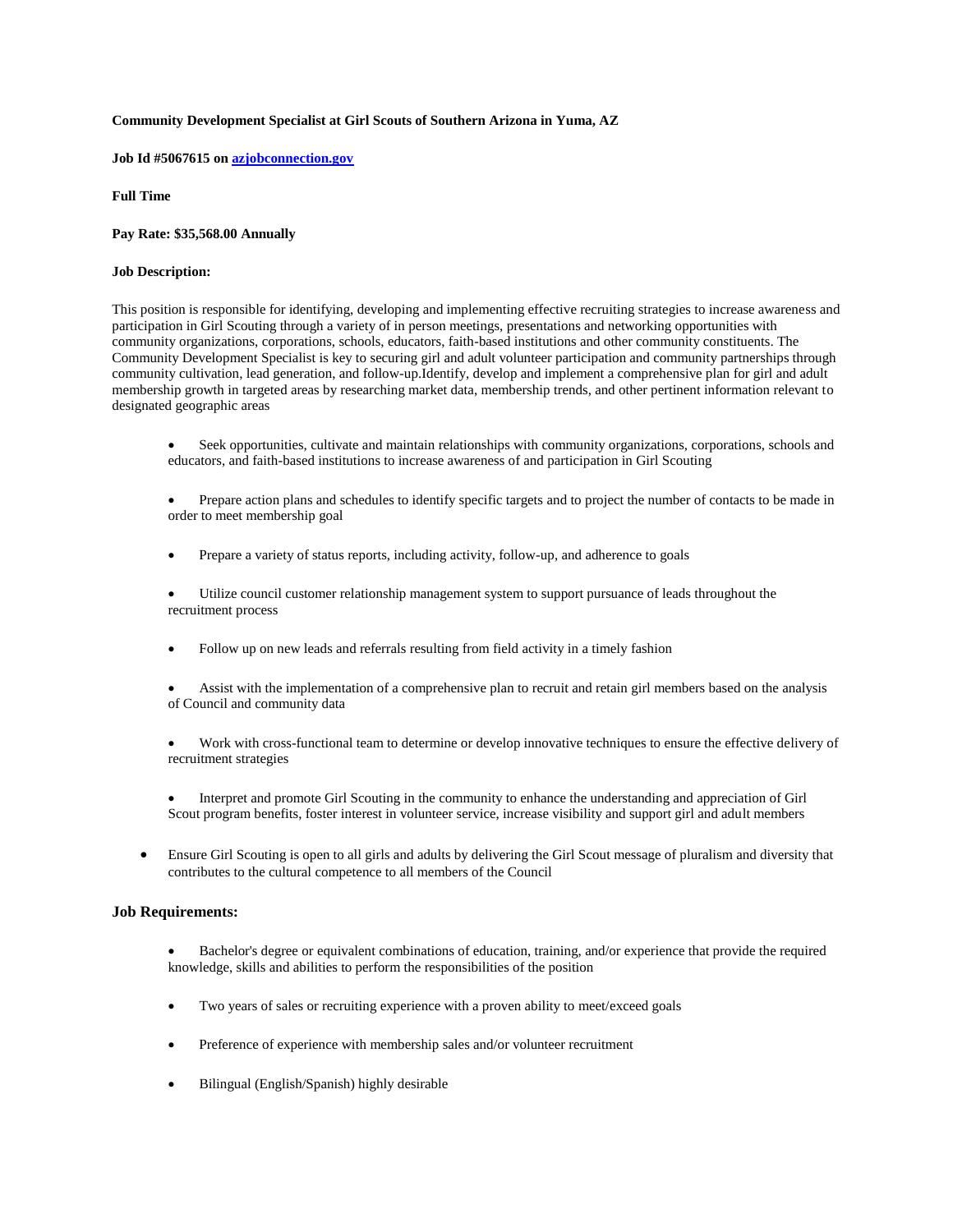## **Community Development Specialist at Girl Scouts of Southern Arizona in Yuma, AZ**

**Job Id #5067615 on [azjobconnection.gov](http://azjobconnection.gov/)**

**Full Time**

**Pay Rate: \$35,568.00 Annually** 

## **Job Description:**

This position is responsible for identifying, developing and implementing effective recruiting strategies to increase awareness and participation in Girl Scouting through a variety of in person meetings, presentations and networking opportunities with community organizations, corporations, schools, educators, faith-based institutions and other community constituents. The Community Development Specialist is key to securing girl and adult volunteer participation and community partnerships through community cultivation, lead generation, and follow-up.Identify, develop and implement a comprehensive plan for girl and adult membership growth in targeted areas by researching market data, membership trends, and other pertinent information relevant to designated geographic areas

 Seek opportunities, cultivate and maintain relationships with community organizations, corporations, schools and educators, and faith-based institutions to increase awareness of and participation in Girl Scouting

 Prepare action plans and schedules to identify specific targets and to project the number of contacts to be made in order to meet membership goal

- Prepare a variety of status reports, including activity, follow-up, and adherence to goals
- Utilize council customer relationship management system to support pursuance of leads throughout the recruitment process
- Follow up on new leads and referrals resulting from field activity in a timely fashion
- Assist with the implementation of a comprehensive plan to recruit and retain girl members based on the analysis of Council and community data
- Work with cross-functional team to determine or develop innovative techniques to ensure the effective delivery of recruitment strategies
- Interpret and promote Girl Scouting in the community to enhance the understanding and appreciation of Girl Scout program benefits, foster interest in volunteer service, increase visibility and support girl and adult members
- Ensure Girl Scouting is open to all girls and adults by delivering the Girl Scout message of pluralism and diversity that contributes to the cultural competence to all members of the Council

## **Job Requirements:**

- Bachelor's degree or equivalent combinations of education, training, and/or experience that provide the required knowledge, skills and abilities to perform the responsibilities of the position
- Two years of sales or recruiting experience with a proven ability to meet/exceed goals
- Preference of experience with membership sales and/or volunteer recruitment
- Bilingual (English/Spanish) highly desirable